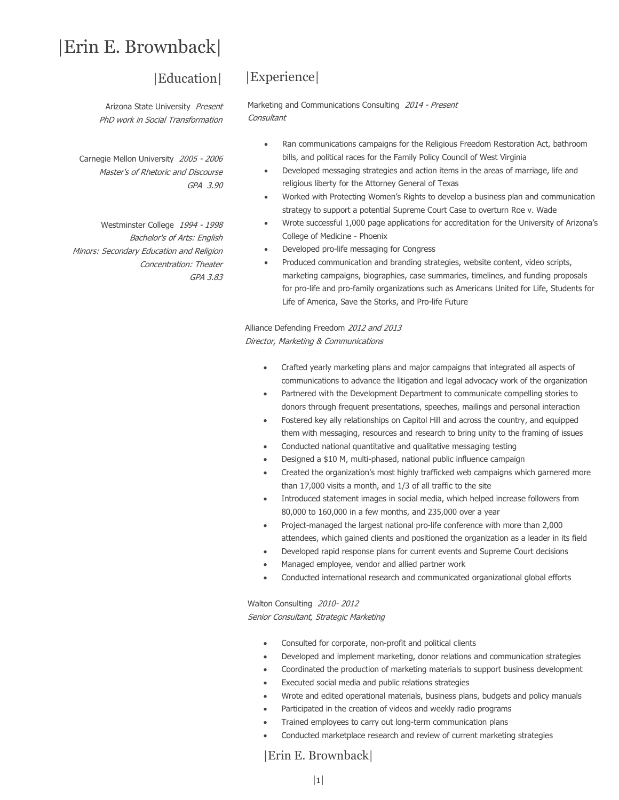# |Erin E. Brownback|

### |Education|

Arizona State University Present PhD work in Social Transformation

Carnegie Mellon University 2005 - 2006 Master's of Rhetoric and Discourse GPA 3.90

Westminster College 1994 - 1998 Bachelor's of Arts: English Minors: Secondary Education and Religion Concentration: Theater GPA 3.83

# |Experience|

Marketing and Communications Consulting 2014 - Present **Consultant** 

- Ran communications campaigns for the Religious Freedom Restoration Act, bathroom bills, and political races for the Family Policy Council of West Virginia
- Developed messaging strategies and action items in the areas of marriage, life and religious liberty for the Attorney General of Texas
- Worked with Protecting Women's Rights to develop a business plan and communication strategy to support a potential Supreme Court Case to overturn Roe v. Wade
- Wrote successful 1,000 page applications for accreditation for the University of Arizona's College of Medicine - Phoenix
- Developed pro-life messaging for Congress
- Produced communication and branding strategies, website content, video scripts, marketing campaigns, biographies, case summaries, timelines, and funding proposals for pro-life and pro-family organizations such as Americans United for Life, Students for Life of America, Save the Storks, and Pro-life Future

Alliance Defending Freedom 2012 and 2013 Director, Marketing & Communications

- Crafted yearly marketing plans and major campaigns that integrated all aspects of communications to advance the litigation and legal advocacy work of the organization
- Partnered with the Development Department to communicate compelling stories to donors through frequent presentations, speeches, mailings and personal interaction
- Fostered key ally relationships on Capitol Hill and across the country, and equipped them with messaging, resources and research to bring unity to the framing of issues
- Conducted national quantitative and qualitative messaging testing
- Designed a \$10 M, multi-phased, national public influence campaign
- Created the organization's most highly trafficked web campaigns which garnered more than 17,000 visits a month, and 1/3 of all traffic to the site
- Introduced statement images in social media, which helped increase followers from 80,000 to 160,000 in a few months, and 235,000 over a year
- Project-managed the largest national pro-life conference with more than 2,000 attendees, which gained clients and positioned the organization as a leader in its field
- Developed rapid response plans for current events and Supreme Court decisions
- Managed employee, vendor and allied partner work
- Conducted international research and communicated organizational global efforts

Walton Consulting 2010- 2012 Senior Consultant, Strategic Marketing

- Consulted for corporate, non-profit and political clients
- Developed and implement marketing, donor relations and communication strategies
- Coordinated the production of marketing materials to support business development
- Executed social media and public relations strategies
- Wrote and edited operational materials, business plans, budgets and policy manuals
- Participated in the creation of videos and weekly radio programs
- Trained employees to carry out long-term communication plans
- Conducted marketplace research and review of current marketing strategies

|Erin E. Brownback|